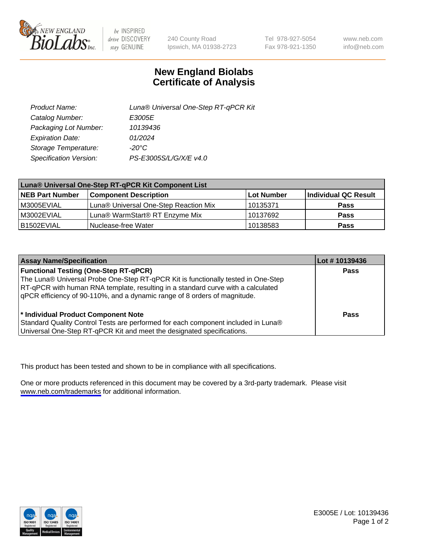

be INSPIRED drive DISCOVERY stay GENUINE

240 County Road Ipswich, MA 01938-2723 Tel 978-927-5054 Fax 978-921-1350

www.neb.com info@neb.com

## **New England Biolabs Certificate of Analysis**

| Product Name:           | Luna® Universal One-Step RT-qPCR Kit |
|-------------------------|--------------------------------------|
| Catalog Number:         | E3005E                               |
| Packaging Lot Number:   | 10139436                             |
| <b>Expiration Date:</b> | 01/2024                              |
| Storage Temperature:    | $-20^{\circ}$ C                      |
| Specification Version:  | PS-E3005S/L/G/X/E v4.0               |

| Luna® Universal One-Step RT-qPCR Kit Component List |                                       |            |                      |  |
|-----------------------------------------------------|---------------------------------------|------------|----------------------|--|
| <b>NEB Part Number</b>                              | <b>Component Description</b>          | Lot Number | Individual QC Result |  |
| IM3005EVIAL                                         | Luna® Universal One-Step Reaction Mix | 10135371   | Pass                 |  |
| M3002EVIAL                                          | Luna® WarmStart® RT Enzyme Mix        | 10137692   | <b>Pass</b>          |  |
| B1502EVIAL                                          | Nuclease-free Water                   | 10138583   | <b>Pass</b>          |  |

| <b>Assay Name/Specification</b>                                                                                                                                       | Lot # 10139436 |
|-----------------------------------------------------------------------------------------------------------------------------------------------------------------------|----------------|
| <b>Functional Testing (One-Step RT-qPCR)</b>                                                                                                                          | <b>Pass</b>    |
| The Luna® Universal Probe One-Step RT-qPCR Kit is functionally tested in One-Step<br>RT-qPCR with human RNA template, resulting in a standard curve with a calculated |                |
| gPCR efficiency of 90-110%, and a dynamic range of 8 orders of magnitude.                                                                                             |                |
| <sup>*</sup> Individual Product Component Note                                                                                                                        | Pass           |
| Standard Quality Control Tests are performed for each component included in Luna®                                                                                     |                |
| Universal One-Step RT-qPCR Kit and meet the designated specifications.                                                                                                |                |

This product has been tested and shown to be in compliance with all specifications.

One or more products referenced in this document may be covered by a 3rd-party trademark. Please visit <www.neb.com/trademarks>for additional information.